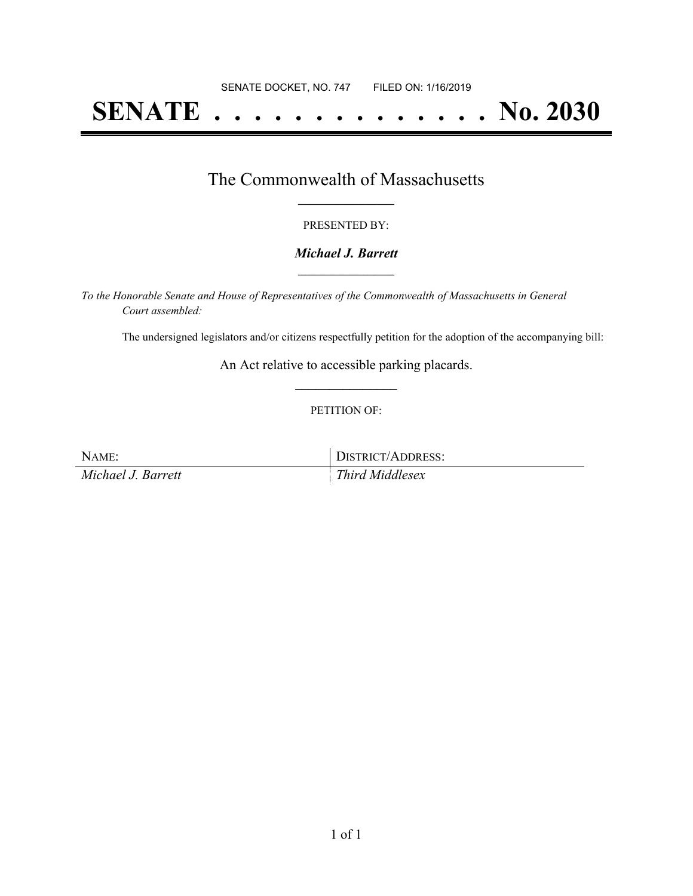# **SENATE . . . . . . . . . . . . . . No. 2030**

### The Commonwealth of Massachusetts **\_\_\_\_\_\_\_\_\_\_\_\_\_\_\_\_\_**

#### PRESENTED BY:

#### *Michael J. Barrett* **\_\_\_\_\_\_\_\_\_\_\_\_\_\_\_\_\_**

*To the Honorable Senate and House of Representatives of the Commonwealth of Massachusetts in General Court assembled:*

The undersigned legislators and/or citizens respectfully petition for the adoption of the accompanying bill:

An Act relative to accessible parking placards. **\_\_\_\_\_\_\_\_\_\_\_\_\_\_\_**

#### PETITION OF:

NAME: DISTRICT/ADDRESS: *Michael J. Barrett Third Middlesex*